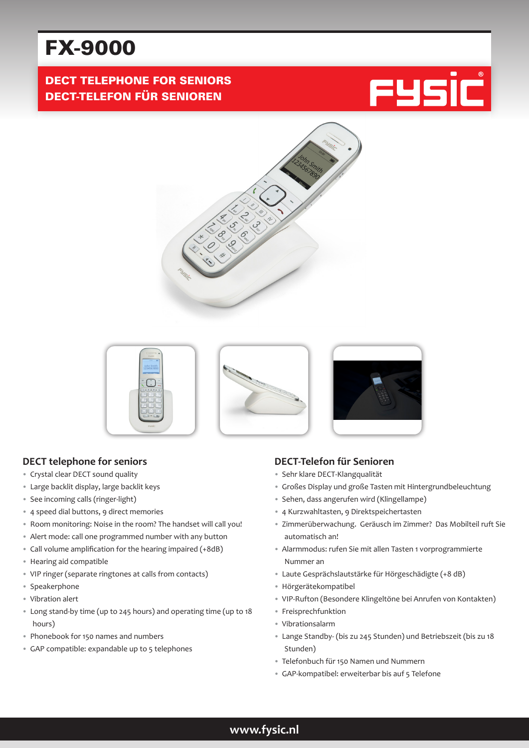# FX-9000

# DECT TELEPHONE FOR SENIORS DECT-TELEFON FÜR SENIOREN







#### **DECT telephone for seniors**

- Crystal clear DECT sound quality
- Large backlit display, large backlit keys
- See incoming calls (ringer-light)
- 4 speed dial buttons, 9 direct memories
- Room monitoring: Noise in the room? The handset will call you!
- Alert mode: call one programmed number with any button
- Call volume amplification for the hearing impaired (+8dB)
- Hearing aid compatible
- VIP ringer (separate ringtones at calls from contacts)
- Speakerphone
- Vibration alert
- Long stand-by time (up to 245 hours) and operating time (up to 18 hours)
- Phonebook for 150 names and numbers
- GAP compatible: expandable up to 5 telephones

### **DECT-Telefon für Senioren**

- Sehr klare DECT-Klangqualität
- Großes Display und große Tasten mit Hintergrundbeleuchtung
- Sehen, dass angerufen wird (Klingellampe)
- 4 Kurzwahltasten, 9 Direktspeichertasten
- Zimmerüberwachung. Geräusch im Zimmer? Das Mobilteil ruft Sie automatisch an!
- Alarmmodus: rufen Sie mit allen Tasten 1 vorprogrammierte Nummer an
- Laute Gesprächslautstärke für Hörgeschädigte (+8 dB)
- Hörgerätekompatibel
- VIP-Rufton (Besondere Klingeltöne bei Anrufen von Kontakten)
- Freisprechfunktion
- Vibrationsalarm
- Lange Standby- (bis zu 245 Stunden) und Betriebszeit (bis zu 18 Stunden)
- Telefonbuch für 150 Namen und Nummern
- GAP-kompatibel: erweiterbar bis auf 5 Telefone